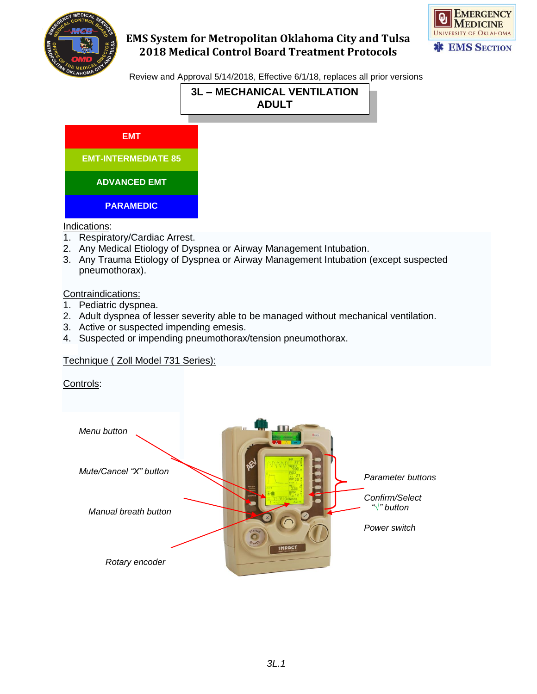



Review and Approval 5/14/2018, Effective 6/1/18, replaces all prior versions



**EMT**

**EMT-INTERMEDIATE 85**

**ADVANCED EMT**

**PARAMEDIC**

Indications:

- 1. Respiratory/Cardiac Arrest.
- 2. Any Medical Etiology of Dyspnea or Airway Management Intubation.
- 3. Any Trauma Etiology of Dyspnea or Airway Management Intubation (except suspected pneumothorax).

Contraindications:

- 1. Pediatric dyspnea.
- 2. Adult dyspnea of lesser severity able to be managed without mechanical ventilation.
- 3. Active or suspected impending emesis.
- 4. Suspected or impending pneumothorax/tension pneumothorax.

### Technique ( Zoll Model 731 Series):

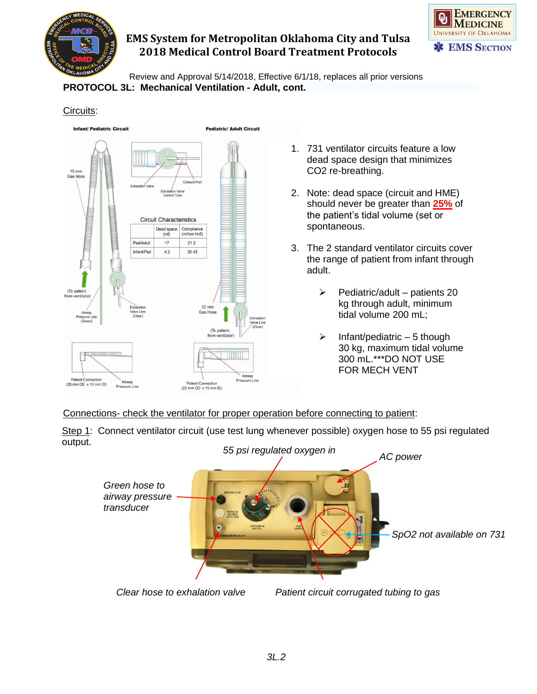



Review and Approval 5/14/2018, Effective 6/1/18, replaces all prior versions **PROTOCOL 3L: Mechanical Ventilation - Adult, cont.**

#### Circuits:



- 1. 731 ventilator circuits feature a low dead space design that minimizes CO2 re-breathing.
- 2. Note: dead space (circuit and HME) should never be greater than **25%** of the patient's tidal volume (set or spontaneous.
- 3. The 2 standard ventilator circuits cover the range of patient from infant through adult.
	- $\triangleright$  Pediatric/adult patients 20 kg through adult, minimum tidal volume 200 mL;
	- $\triangleright$  Infant/pediatric 5 though 30 kg, maximum tidal volume 300 mL.\*\*\*DO NOT USE FOR MECH VENT

Connections- check the ventilator for proper operation before connecting to patient:

Step 1: Connect ventilator circuit (use test lung whenever possible) oxygen hose to 55 psi regulated output.



*Clear hose to exhalation valve Patient circuit corrugated tubing to gas*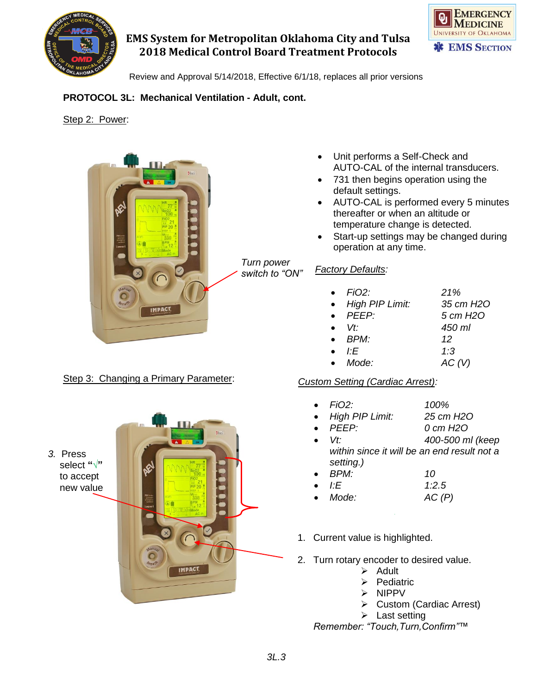

*Turn power switch to "ON"*



Review and Approval 5/14/2018, Effective 6/1/18, replaces all prior versions

## **PROTOCOL 3L: Mechanical Ventilation - Adult, cont.**

Step 2: Power:



## Step 3: Changing a Primary Parameter:

*3.* Press select **"√"**  to accept new value



- Unit performs a Self-Check and AUTO-CAL of the internal transducers.
- 731 then begins operation using the default settings.
- AUTO-CAL is performed every 5 minutes thereafter or when an altitude or temperature change is detected.
- Start-up settings may be changed during operation at any time.

#### *Factory Defaults:*

|           | $\bullet$ FiO2:        | 21%               |
|-----------|------------------------|-------------------|
| $\bullet$ | <b>High PIP Limit:</b> | 35 cm H2O         |
|           | $\bullet$ PFFP         | 5 cm H2O          |
|           | $\bullet$ $\forall t$  | 450 ml            |
|           | $\bullet$ BPM:         | 12                |
|           | ŀF                     | 1:3               |
|           | $\bullet$ Mode:        | AC <sub>(V)</sub> |
|           |                        |                   |

### *Custom Setting (Cardiac Arrest):*

- *FiO2: 100%*
- *High PIP Limit: 25 cm H2O*
- *PEEP: 0 cm H2O*
- *Vt: 400-500 ml (keep within since it will be an end result not a setting.)*
- *BPM: 10*
- *I:E 1:2.5*
- *Mode: AC (P)*
- 1. Current value is highlighted. (double tap) at startup
- 3 2. Turn rotary encoder to desired value.
	- ➢ Adult
	- 2 ➢ Pediatric
	- 7 ➢ NIPPV
	- 1 ➢ Custom (Cardiac Arrest)
	- $\blacktriangleright$  Last setting

*Remember: "Touch,Turn,Confirm"™*